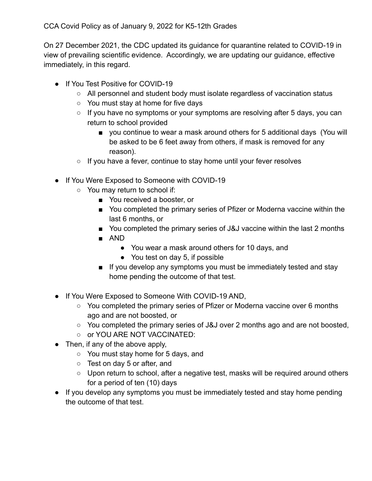On 27 December 2021, the CDC updated its guidance for quarantine related to COVID-19 in view of prevailing scientific evidence. Accordingly, we are updating our guidance, effective immediately, in this regard.

- If You Test Positive for COVID-19
	- All personnel and student body must isolate regardless of vaccination status
	- You must stay at home for five days
	- If you have no symptoms or your symptoms are resolving after 5 days, you can return to school provided
		- you continue to wear a mask around others for 5 additional days (You will be asked to be 6 feet away from others, if mask is removed for any reason).
	- If you have a fever, continue to stay home until your fever resolves
- If You Were Exposed to Someone with COVID-19
	- You may return to school if:
		- You received a booster, or
		- You completed the primary series of Pfizer or Moderna vaccine within the last 6 months, or
		- You completed the primary series of J&J vaccine within the last 2 months
		- AND
			- You wear a mask around others for 10 days, and
			- You test on day 5, if possible
		- If you develop any symptoms you must be immediately tested and stay home pending the outcome of that test.
- If You Were Exposed to Someone With COVID-19 AND,
	- You completed the primary series of Pfizer or Moderna vaccine over 6 months ago and are not boosted, or
	- You completed the primary series of J&J over 2 months ago and are not boosted,
	- or YOU ARE NOT VACCINATED:
- $\bullet$  Then, if any of the above apply,
	- You must stay home for 5 days, and
	- Test on day 5 or after, and
	- Upon return to school, after a negative test, masks will be required around others for a period of ten (10) days
- If you develop any symptoms you must be immediately tested and stay home pending the outcome of that test.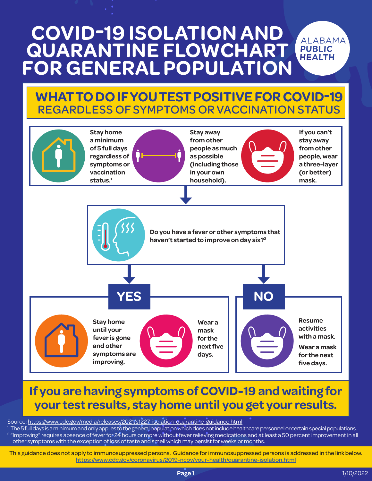# **COVID-19 ISOLATION AND QUARANTINE FLOWCHART FOR GENERAL POPULATION**

### **WHAT TO DO IF YOU TEST POSITIVE FOR COVID-19** REGARDLESS OF SYMPTOMS OR VACCINATION STATUS



## **If you are having symptoms of COVID-19 and waiting for your test results, stay home until you get your results.**

Source: <https://www.cdc.gov/media/releases/2021/s1227-isolation-quarantine-guidance.html>

<sup>1</sup> The 5 full days is a minimum and only applies to the general population which does not include healthcare personnel or certain special populations. <sup>2</sup> "Improving" requires absence of fever for 24 hours or more without fever relieving medications and at least a 50 percent improvement in all other symptoms with the exception of loss of taste and smell which may persist for weeks or months.

This guidance does not apply to immunosuppressed persons. Guidance for immunosuppressed persons is addressed in the link below. <https://www.cdc.gov/coronavirus/2019-ncov/your-health/quarantine-isolation.html>

**ALABAMA PUBLIC HEALTH**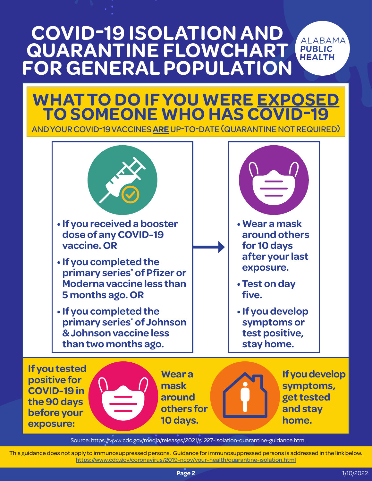#### **COVID-19 ISOLATION AND ALABAMA QUARANTINE FLOWCHART PUBLIC HEALTH FOR GENERAL POPULATION**

# **WHAT TO DO IF YOU WERE EXPOSED TO SOMEONE WHO HAS COVID-19**

AND YOUR COVID-19 VACCINES **ARE** UP-TO-DATE (QUARANTINE NOT REQUIRED)



Source:<https://www.cdc.gov/media/releases/2021/s1227-isolation-quarantine-guidance.html>

This guidance does not apply to immunosuppressed persons. Guidance for immunosuppressed persons is addressed in the link below. <https://www.cdc.gov/coronavirus/2019-ncov/your-health/quarantine-isolation.html>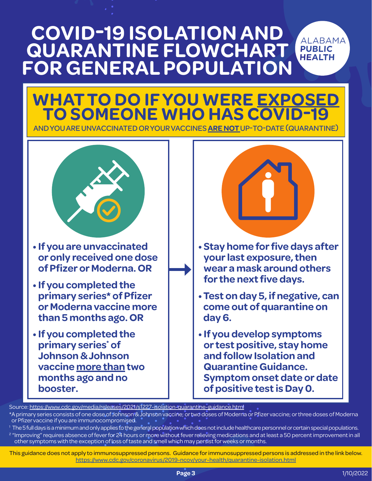#### **COVID-19 ISOLATION AND QUARANTINE FLOWCHART PUBLIC HEALTH FOR GENERAL POPULATION**

# **WHAT TO DO IF YOU WERE EXPOSED TO SOMEONE WHO HAS COVID-19**

AND YOU ARE UNVACCINATED OR YOUR VACCINES **ARE NOT** UP-TO-DATE (QUARANTINE)



- **If you are unvaccinated or only received one dose of Pfizer or Moderna. OR**
- **If you completed the primary series\* of Pfizer or Moderna vaccine more than 5 months ago. OR**
- **If you completed the primary series\* of Johnson & Johnson vaccine more than two months ago and no booster.**



**ALABAMA** 

- **Stay home for five days after your last exposure, then wear a mask around others for the next five days.**
- **Test on day 5, if negative, can come out of quarantine on day 6.**
- **If you develop symptoms or test positive, stay home and follow Isolation and Quarantine Guidance. Symptom onset date or date of positive test is Day 0.**

Source: <https://www.cdc.gov/media/releases/2021/s1227-isolation-quarantine-guidance.html>

- \*A primary series consists of one dose of Johnson & Johnson vaccine; or two doses of Moderna or Pfizer vaccine; or three doses of Moderna or Pfizer vaccine if you are immunocompromised.
- <sup>1</sup> The 5 full days is a minimum and only applies to the general population which does not include healthcare personnel or certain special populations. <sup>2</sup> "Improving" requires absence of fever for 24 hours or more without fever relieving medications and at least a 50 percent improvement in all other symptoms with the exception of loss of taste and smell which may persist for weeks or months.

This guidance does not apply to immunosuppressed persons. Guidance for immunosuppressed persons is addressed in the link below. <https://www.cdc.gov/coronavirus/2019-ncov/your-health/quarantine-isolation.html>